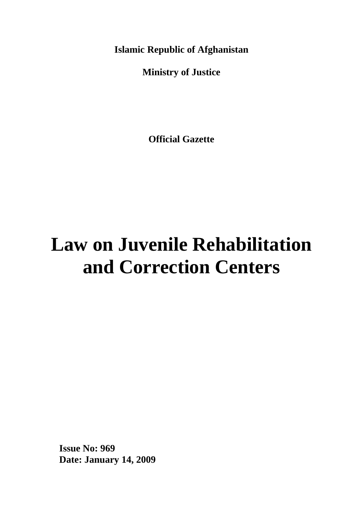**Islamic Republic of Afghanistan**

**Ministry of Justice**

**Official Gazette**

# **Law on Juvenile Rehabilitation and Correction Centers**

**Issue No: 969 Date: January 14, 2009**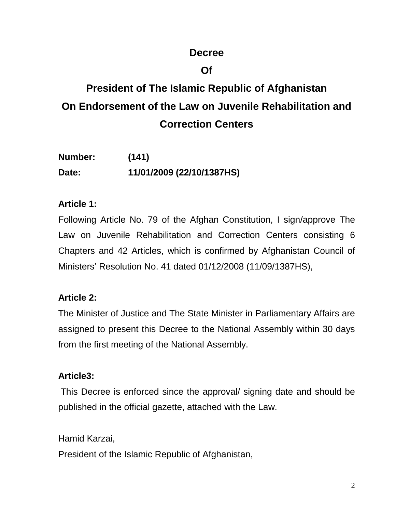# **Decree**

# **Of**

# **President of The Islamic Republic of Afghanistan On Endorsement of the Law on Juvenile Rehabilitation and Correction Centers**

| Number: | (141)                     |
|---------|---------------------------|
| Date:   | 11/01/2009 (22/10/1387HS) |

# **Article 1:**

Following Article No. 79 of the Afghan Constitution, I sign/approve The Law on Juvenile Rehabilitation and Correction Centers consisting 6 Chapters and 42 Articles, which is confirmed by Afghanistan Council of Ministers' Resolution No. 41 dated 01/12/2008 (11/09/1387HS),

# **Article 2:**

The Minister of Justice and The State Minister in Parliamentary Affairs are assigned to present this Decree to the National Assembly within 30 days from the first meeting of the National Assembly.

# **Article3:**

This Decree is enforced since the approval/ signing date and should be published in the official gazette, attached with the Law.

Hamid Karzai,

President of the Islamic Republic of Afghanistan,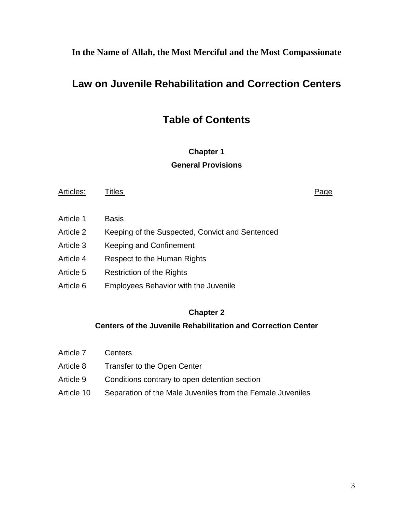**In the Name of Allah, the Most Merciful and the Most Compassionate**

# **Law on Juvenile Rehabilitation and Correction Centers**

# **Table of Contents**

#### **Chapter 1 General Provisions**

Articles: Titles **Page** Article 1 Basis Article 2 Keeping of the Suspected, Convict and Sentenced Article 3 Keeping and Confinement Article 4 Respect to the Human Rights Article 5 Restriction of the Rights Article 6 Employees Behavior with the Juvenile

#### **Chapter 2**

#### **Centers of the Juvenile Rehabilitation and Correction Center**

Article 7 Centers Article 8 Transfer to the Open Center Article 9 Conditions contrary to open detention section Article 10 Separation of the Male Juveniles from the Female Juveniles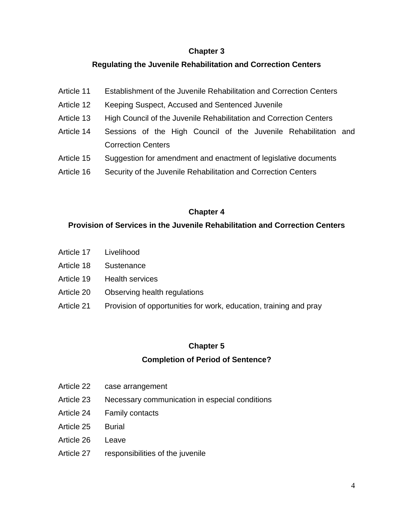#### **Chapter 3**

#### **Regulating the Juvenile Rehabilitation and Correction Centers**

- Article 11 Establishment of the Juvenile Rehabilitation and Correction Centers
- Article 12 Keeping Suspect, Accused and Sentenced Juvenile
- Article 13 High Council of the Juvenile Rehabilitation and Correction Centers
- Article 14 Sessions of the High Council of the Juvenile Rehabilitation and Correction Centers
- Article 15 Suggestion for amendment and enactment of legislative documents
- Article 16 Security of the Juvenile Rehabilitation and Correction Centers

#### **Chapter 4**

#### **Provision of Services in the Juvenile Rehabilitation and Correction Centers**

- Article 17 Livelihood
- Article 18 Sustenance
- Article 19 Health services
- Article 20 Observing health regulations
- Article 21 Provision of opportunities for work, education, training and pray

#### **Chapter 5**

#### **Completion of Period of Sentence?**

- Article 22 case arrangement
- Article 23 Necessary communication in especial conditions
- Article 24 Family contacts
- Article 25 Burial
- Article 26 Leave
- Article 27 responsibilities of the juvenile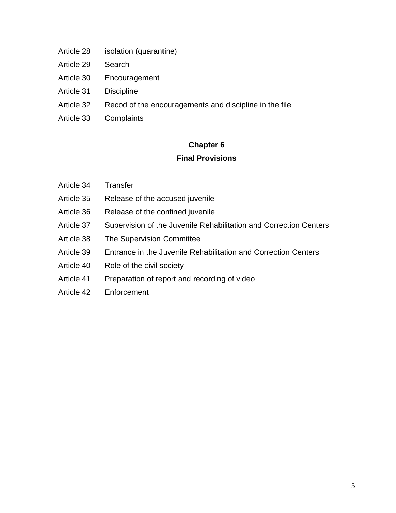- Article 28 isolation (quarantine)
- Article 29 Search
- Article 30 Encouragement
- Article 31 Discipline
- Article 32 Recod of the encouragements and discipline in the file
- Article 33 Complaints

# **Chapter 6**

#### **Final Provisions**

- Article 34 Transfer
- Article 35 Release of the accused juvenile
- Article 36 Release of the confined juvenile
- Article 37 Supervision of the Juvenile Rehabilitation and Correction Centers
- Article 38 The Supervision Committee
- Article 39 Entrance in the Juvenile Rehabilitation and Correction Centers
- Article 40 Role of the civil society
- Article 41 Preparation of report and recording of video
- Article 42 Enforcement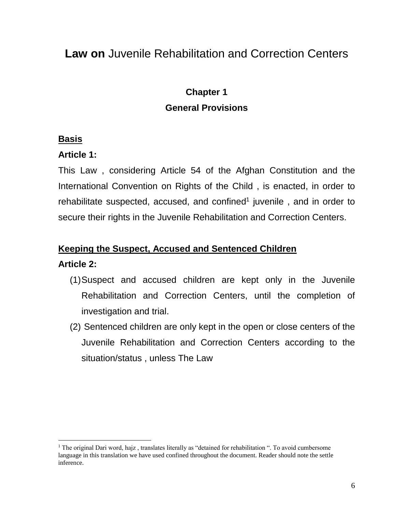# **Law on** Juvenile Rehabilitation and Correction Centers

# **Chapter 1 General Provisions**

#### **Basis**

#### **Article 1:**

This Law , considering Article 54 of the Afghan Constitution and the International Convention on Rights of the Child , is enacted, in order to rehabilitate suspected, accused, and confined<sup>1</sup> juvenile, and in order to secure their rights in the Juvenile Rehabilitation and Correction Centers.

#### **Keeping the Suspect, Accused and Sentenced Children**

#### **Article 2:**

 $\overline{a}$ 

- (1)Suspect and accused children are kept only in the Juvenile Rehabilitation and Correction Centers, until the completion of investigation and trial.
- (2) Sentenced children are only kept in the open or close centers of the Juvenile Rehabilitation and Correction Centers according to the situation/status , unless The Law

<sup>1</sup> The original Dari word, hajz , translates literally as "detained for rehabilitation ". To avoid cumbersome language in this translation we have used confined throughout the document. Reader should note the settle inference.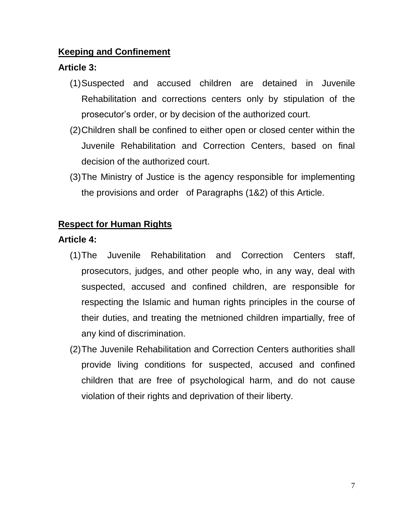#### **Keeping and Confinement**

# **Article 3:**

- (1)Suspected and accused children are detained in Juvenile Rehabilitation and corrections centers only by stipulation of the prosecutor's order, or by decision of the authorized court.
- (2)Children shall be confined to either open or closed center within the Juvenile Rehabilitation and Correction Centers, based on final decision of the authorized court.
- (3)The Ministry of Justice is the agency responsible for implementing the provisions and order of Paragraphs (1&2) of this Article.

# **Respect for Human Rights**

# **Article 4:**

- (1)The Juvenile Rehabilitation and Correction Centers staff, prosecutors, judges, and other people who, in any way, deal with suspected, accused and confined children, are responsible for respecting the Islamic and human rights principles in the course of their duties, and treating the metnioned children impartially, free of any kind of discrimination.
- (2)The Juvenile Rehabilitation and Correction Centers authorities shall provide living conditions for suspected, accused and confined children that are free of psychological harm, and do not cause violation of their rights and deprivation of their liberty.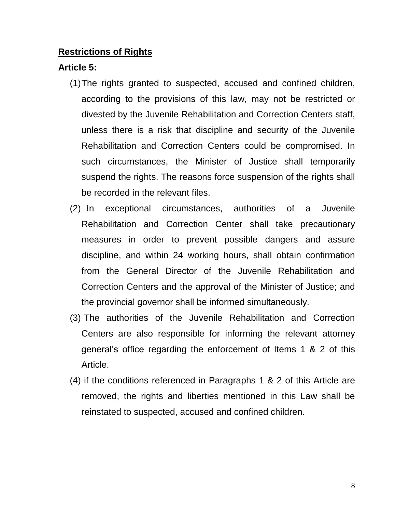#### **Restrictions of Rights**

#### **Article 5:**

- (1)The rights granted to suspected, accused and confined children, according to the provisions of this law, may not be restricted or divested by the Juvenile Rehabilitation and Correction Centers staff, unless there is a risk that discipline and security of the Juvenile Rehabilitation and Correction Centers could be compromised. In such circumstances, the Minister of Justice shall temporarily suspend the rights. The reasons force suspension of the rights shall be recorded in the relevant files.
- (2) In exceptional circumstances, authorities of a Juvenile Rehabilitation and Correction Center shall take precautionary measures in order to prevent possible dangers and assure discipline, and within 24 working hours, shall obtain confirmation from the General Director of the Juvenile Rehabilitation and Correction Centers and the approval of the Minister of Justice; and the provincial governor shall be informed simultaneously.
- (3) The authorities of the Juvenile Rehabilitation and Correction Centers are also responsible for informing the relevant attorney general's office regarding the enforcement of Items 1 & 2 of this Article.
- (4) if the conditions referenced in Paragraphs 1 & 2 of this Article are removed, the rights and liberties mentioned in this Law shall be reinstated to suspected, accused and confined children.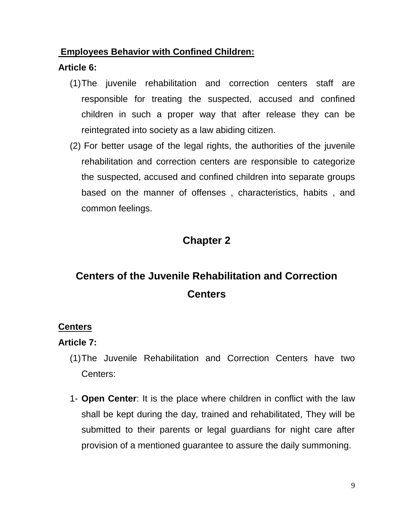#### **Employees Behavior with Confined Children:**

# **Article 6:**

- (1)The juvenile rehabilitation and correction centers staff are responsible for treating the suspected, accused and confined children in such a proper way that after release they can be reintegrated into society as a law abiding citizen.
- (2) For better usage of the legal rights, the authorities of the juvenile rehabilitation and correction centers are responsible to categorize the suspected, accused and confined children into separate groups based on the manner of offenses , characteristics, habits , and common feelings.

# **Chapter 2**

# **Centers of the Juvenile Rehabilitation and Correction Centers**

# **Centers**

# **Article 7:**

- (1)The Juvenile Rehabilitation and Correction Centers have two Centers:
- 1- **Open Center**: It is the place where children in conflict with the law shall be kept during the day, trained and rehabilitated, They will be submitted to their parents or legal guardians for night care after provision of a mentioned guarantee to assure the daily summoning.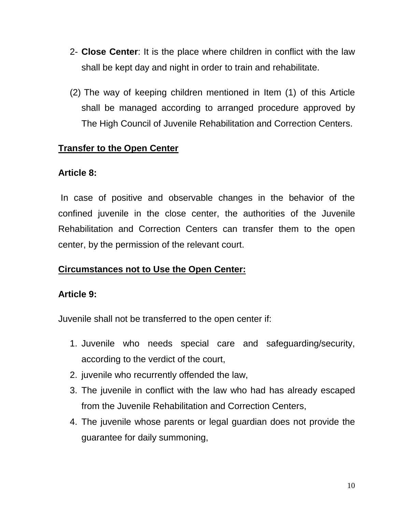- 2- **Close Center**: It is the place where children in conflict with the law shall be kept day and night in order to train and rehabilitate.
- (2) The way of keeping children mentioned in Item (1) of this Article shall be managed according to arranged procedure approved by The High Council of Juvenile Rehabilitation and Correction Centers.

# **Transfer to the Open Center**

# **Article 8:**

In case of positive and observable changes in the behavior of the confined juvenile in the close center, the authorities of the Juvenile Rehabilitation and Correction Centers can transfer them to the open center, by the permission of the relevant court.

# **Circumstances not to Use the Open Center:**

# **Article 9:**

Juvenile shall not be transferred to the open center if:

- 1. Juvenile who needs special care and safeguarding/security, according to the verdict of the court,
- 2. juvenile who recurrently offended the law,
- 3. The juvenile in conflict with the law who had has already escaped from the Juvenile Rehabilitation and Correction Centers,
- 4. The juvenile whose parents or legal guardian does not provide the guarantee for daily summoning,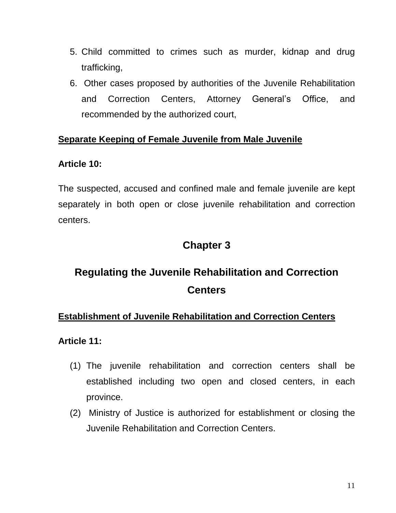- 5. Child committed to crimes such as murder, kidnap and drug trafficking,
- 6. Other cases proposed by authorities of the Juvenile Rehabilitation and Correction Centers, Attorney General's Office, and recommended by the authorized court,

# **Separate Keeping of Female Juvenile from Male Juvenile**

#### **Article 10:**

The suspected, accused and confined male and female juvenile are kept separately in both open or close juvenile rehabilitation and correction centers.

# **Chapter 3**

# **Regulating the Juvenile Rehabilitation and Correction Centers**

# **Establishment of Juvenile Rehabilitation and Correction Centers**

**Article 11:**

- (1) The juvenile rehabilitation and correction centers shall be established including two open and closed centers, in each province.
- (2) Ministry of Justice is authorized for establishment or closing the Juvenile Rehabilitation and Correction Centers.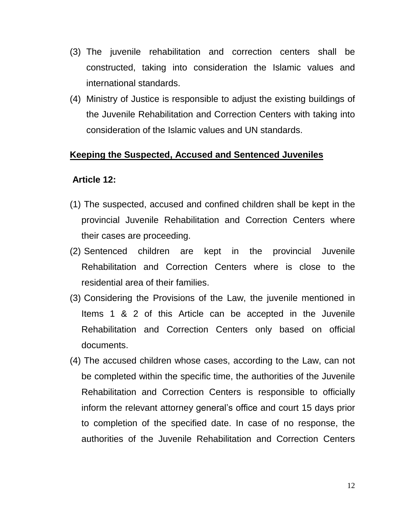- (3) The juvenile rehabilitation and correction centers shall be constructed, taking into consideration the Islamic values and international standards.
- (4) Ministry of Justice is responsible to adjust the existing buildings of the Juvenile Rehabilitation and Correction Centers with taking into consideration of the Islamic values and UN standards.

#### **Keeping the Suspected, Accused and Sentenced Juveniles**

#### **Article 12:**

- (1) The suspected, accused and confined children shall be kept in the provincial Juvenile Rehabilitation and Correction Centers where their cases are proceeding.
- (2) Sentenced children are kept in the provincial Juvenile Rehabilitation and Correction Centers where is close to the residential area of their families.
- (3) Considering the Provisions of the Law, the juvenile mentioned in Items 1 & 2 of this Article can be accepted in the Juvenile Rehabilitation and Correction Centers only based on official documents.
- (4) The accused children whose cases, according to the Law, can not be completed within the specific time, the authorities of the Juvenile Rehabilitation and Correction Centers is responsible to officially inform the relevant attorney general's office and court 15 days prior to completion of the specified date. In case of no response, the authorities of the Juvenile Rehabilitation and Correction Centers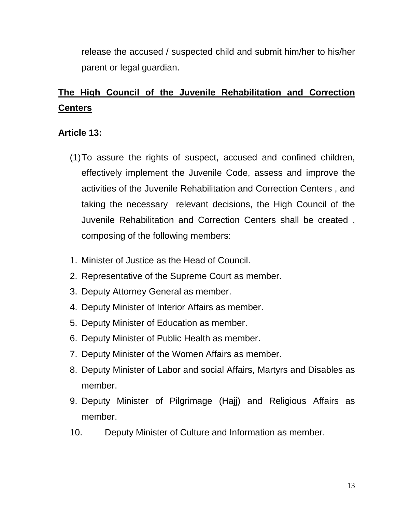release the accused / suspected child and submit him/her to his/her parent or legal guardian.

# **The High Council of the Juvenile Rehabilitation and Correction Centers**

# **Article 13:**

- (1)To assure the rights of suspect, accused and confined children, effectively implement the Juvenile Code, assess and improve the activities of the Juvenile Rehabilitation and Correction Centers , and taking the necessary relevant decisions, the High Council of the Juvenile Rehabilitation and Correction Centers shall be created , composing of the following members:
- 1. Minister of Justice as the Head of Council.
- 2. Representative of the Supreme Court as member.
- 3. Deputy Attorney General as member.
- 4. Deputy Minister of Interior Affairs as member.
- 5. Deputy Minister of Education as member.
- 6. Deputy Minister of Public Health as member.
- 7. Deputy Minister of the Women Affairs as member.
- 8. Deputy Minister of Labor and social Affairs, Martyrs and Disables as member.
- 9. Deputy Minister of Pilgrimage (Hajj) and Religious Affairs as member.
- 10. Deputy Minister of Culture and Information as member.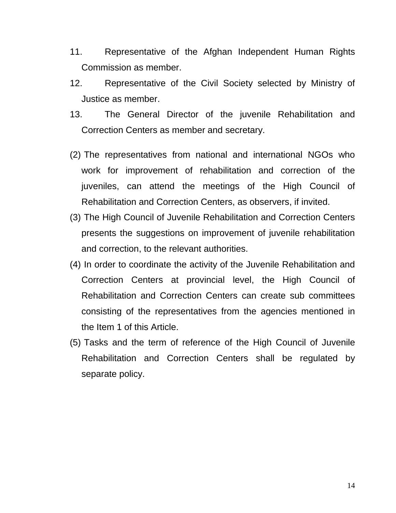- 11. Representative of the Afghan Independent Human Rights Commission as member.
- 12. Representative of the Civil Society selected by Ministry of Justice as member.
- 13. The General Director of the juvenile Rehabilitation and Correction Centers as member and secretary.
- (2) The representatives from national and international NGOs who work for improvement of rehabilitation and correction of the juveniles, can attend the meetings of the High Council of Rehabilitation and Correction Centers, as observers, if invited.
- (3) The High Council of Juvenile Rehabilitation and Correction Centers presents the suggestions on improvement of juvenile rehabilitation and correction, to the relevant authorities.
- (4) In order to coordinate the activity of the Juvenile Rehabilitation and Correction Centers at provincial level, the High Council of Rehabilitation and Correction Centers can create sub committees consisting of the representatives from the agencies mentioned in the Item 1 of this Article.
- (5) Tasks and the term of reference of the High Council of Juvenile Rehabilitation and Correction Centers shall be regulated by separate policy.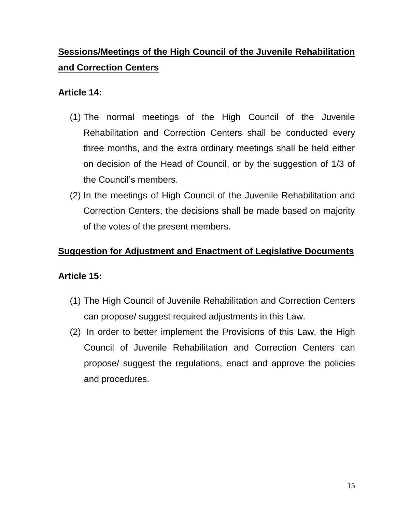# **Sessions/Meetings of the High Council of the Juvenile Rehabilitation and Correction Centers**

### **Article 14:**

- (1) The normal meetings of the High Council of the Juvenile Rehabilitation and Correction Centers shall be conducted every three months, and the extra ordinary meetings shall be held either on decision of the Head of Council, or by the suggestion of 1/3 of the Council's members.
- (2) In the meetings of High Council of the Juvenile Rehabilitation and Correction Centers, the decisions shall be made based on majority of the votes of the present members.

### **Suggestion for Adjustment and Enactment of Legislative Documents**

# **Article 15:**

- (1) The High Council of Juvenile Rehabilitation and Correction Centers can propose/ suggest required adjustments in this Law.
- (2) In order to better implement the Provisions of this Law, the High Council of Juvenile Rehabilitation and Correction Centers can propose/ suggest the regulations, enact and approve the policies and procedures.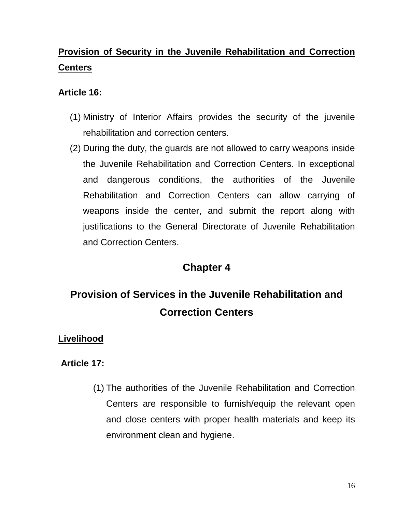# **Provision of Security in the Juvenile Rehabilitation and Correction Centers**

# **Article 16:**

- (1) Ministry of Interior Affairs provides the security of the juvenile rehabilitation and correction centers.
- (2) During the duty, the guards are not allowed to carry weapons inside the Juvenile Rehabilitation and Correction Centers. In exceptional and dangerous conditions, the authorities of the Juvenile Rehabilitation and Correction Centers can allow carrying of weapons inside the center, and submit the report along with justifications to the General Directorate of Juvenile Rehabilitation and Correction Centers.

# **Chapter 4**

# **Provision of Services in the Juvenile Rehabilitation and Correction Centers**

# **Livelihood**

# **Article 17:**

(1) The authorities of the Juvenile Rehabilitation and Correction Centers are responsible to furnish/equip the relevant open and close centers with proper health materials and keep its environment clean and hygiene.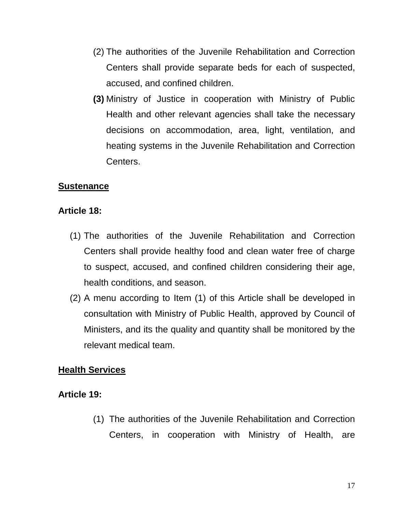- (2) The authorities of the Juvenile Rehabilitation and Correction Centers shall provide separate beds for each of suspected, accused, and confined children.
- **(3)** Ministry of Justice in cooperation with Ministry of Public Health and other relevant agencies shall take the necessary decisions on accommodation, area, light, ventilation, and heating systems in the Juvenile Rehabilitation and Correction Centers.

#### **Sustenance**

#### **Article 18:**

- (1) The authorities of the Juvenile Rehabilitation and Correction Centers shall provide healthy food and clean water free of charge to suspect, accused, and confined children considering their age, health conditions, and season.
- (2) A menu according to Item (1) of this Article shall be developed in consultation with Ministry of Public Health, approved by Council of Ministers, and its the quality and quantity shall be monitored by the relevant medical team.

# **Health Services**

# **Article 19:**

(1) The authorities of the Juvenile Rehabilitation and Correction Centers, in cooperation with Ministry of Health, are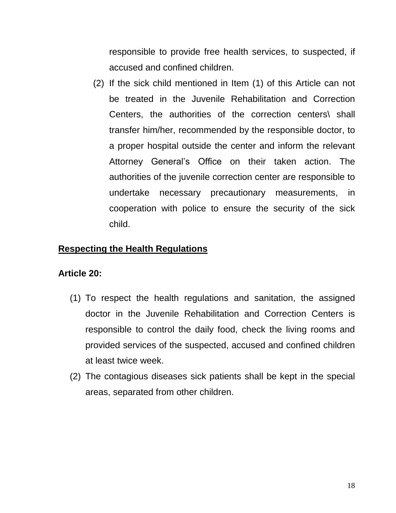responsible to provide free health services, to suspected, if accused and confined children.

(2) If the sick child mentioned in Item (1) of this Article can not be treated in the Juvenile Rehabilitation and Correction Centers, the authorities of the correction centers\ shall transfer him/her, recommended by the responsible doctor, to a proper hospital outside the center and inform the relevant Attorney General's Office on their taken action. The authorities of the juvenile correction center are responsible to undertake necessary precautionary measurements, in cooperation with police to ensure the security of the sick child.

# **Respecting the Health Regulations**

#### **Article 20:**

- (1) To respect the health regulations and sanitation, the assigned doctor in the Juvenile Rehabilitation and Correction Centers is responsible to control the daily food, check the living rooms and provided services of the suspected, accused and confined children at least twice week.
- (2) The contagious diseases sick patients shall be kept in the special areas, separated from other children.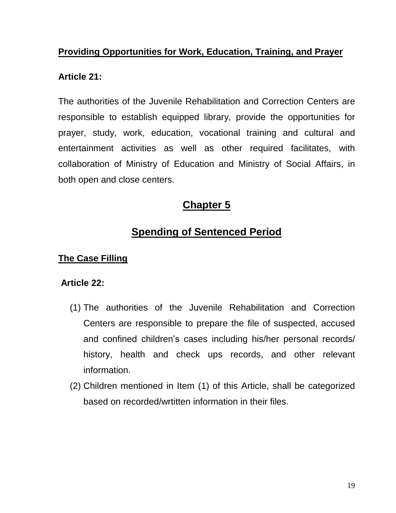# **Providing Opportunities for Work, Education, Training, and Prayer**

#### **Article 21:**

The authorities of the Juvenile Rehabilitation and Correction Centers are responsible to establish equipped library, provide the opportunities for prayer, study, work, education, vocational training and cultural and entertainment activities as well as other required facilitates, with collaboration of Ministry of Education and Ministry of Social Affairs, in both open and close centers.

# **Chapter 5**

# **Spending of Sentenced Period**

# **The Case Filling**

#### **Article 22:**

- (1) The authorities of the Juvenile Rehabilitation and Correction Centers are responsible to prepare the file of suspected, accused and confined children's cases including his/her personal records/ history, health and check ups records, and other relevant information.
- (2) Children mentioned in Item (1) of this Article, shall be categorized based on recorded/wrtitten information in their files.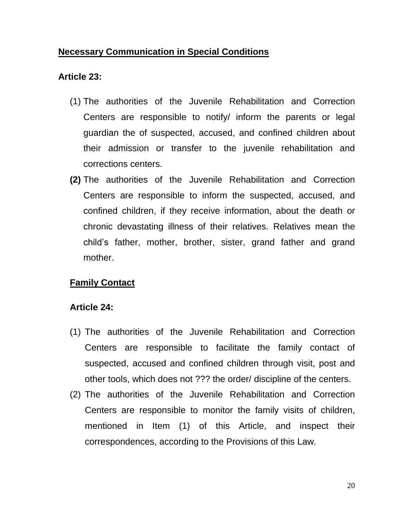#### **Necessary Communication in Special Conditions**

#### **Article 23:**

- (1) The authorities of the Juvenile Rehabilitation and Correction Centers are responsible to notify/ inform the parents or legal guardian the of suspected, accused, and confined children about their admission or transfer to the juvenile rehabilitation and corrections centers.
- **(2)** The authorities of the Juvenile Rehabilitation and Correction Centers are responsible to inform the suspected, accused, and confined children, if they receive information, about the death or chronic devastating illness of their relatives. Relatives mean the child's father, mother, brother, sister, grand father and grand mother.

# **Family Contact**

# **Article 24:**

- (1) The authorities of the Juvenile Rehabilitation and Correction Centers are responsible to facilitate the family contact of suspected, accused and confined children through visit, post and other tools, which does not ??? the order/ discipline of the centers.
- (2) The authorities of the Juvenile Rehabilitation and Correction Centers are responsible to monitor the family visits of children, mentioned in Item (1) of this Article, and inspect their correspondences, according to the Provisions of this Law.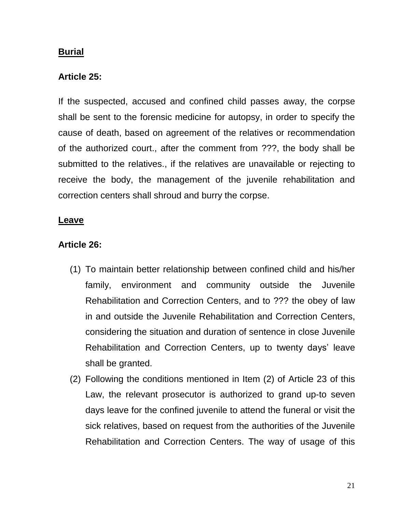#### **Burial**

#### **Article 25:**

If the suspected, accused and confined child passes away, the corpse shall be sent to the forensic medicine for autopsy, in order to specify the cause of death, based on agreement of the relatives or recommendation of the authorized court., after the comment from ???, the body shall be submitted to the relatives., if the relatives are unavailable or rejecting to receive the body, the management of the juvenile rehabilitation and correction centers shall shroud and burry the corpse.

#### **Leave**

#### **Article 26:**

- (1) To maintain better relationship between confined child and his/her family, environment and community outside the Juvenile Rehabilitation and Correction Centers, and to ??? the obey of law in and outside the Juvenile Rehabilitation and Correction Centers, considering the situation and duration of sentence in close Juvenile Rehabilitation and Correction Centers, up to twenty days' leave shall be granted.
- (2) Following the conditions mentioned in Item (2) of Article 23 of this Law, the relevant prosecutor is authorized to grand up-to seven days leave for the confined juvenile to attend the funeral or visit the sick relatives, based on request from the authorities of the Juvenile Rehabilitation and Correction Centers. The way of usage of this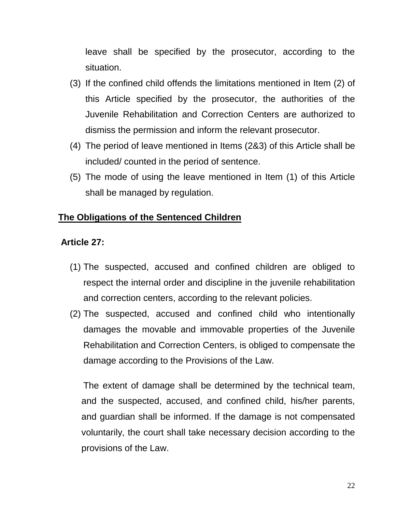leave shall be specified by the prosecutor, according to the situation.

- (3) If the confined child offends the limitations mentioned in Item (2) of this Article specified by the prosecutor, the authorities of the Juvenile Rehabilitation and Correction Centers are authorized to dismiss the permission and inform the relevant prosecutor.
- (4) The period of leave mentioned in Items (2&3) of this Article shall be included/ counted in the period of sentence.
- (5) The mode of using the leave mentioned in Item (1) of this Article shall be managed by regulation.

# **The Obligations of the Sentenced Children**

#### **Article 27:**

- (1) The suspected, accused and confined children are obliged to respect the internal order and discipline in the juvenile rehabilitation and correction centers, according to the relevant policies.
- (2) The suspected, accused and confined child who intentionally damages the movable and immovable properties of the Juvenile Rehabilitation and Correction Centers, is obliged to compensate the damage according to the Provisions of the Law.

The extent of damage shall be determined by the technical team, and the suspected, accused, and confined child, his/her parents, and guardian shall be informed. If the damage is not compensated voluntarily, the court shall take necessary decision according to the provisions of the Law.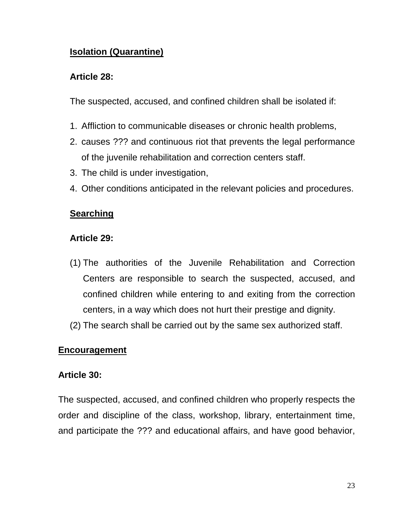# **Isolation (Quarantine)**

#### **Article 28:**

The suspected, accused, and confined children shall be isolated if:

- 1. Affliction to communicable diseases or chronic health problems,
- 2. causes ??? and continuous riot that prevents the legal performance of the juvenile rehabilitation and correction centers staff.
- 3. The child is under investigation,
- 4. Other conditions anticipated in the relevant policies and procedures.

# **Searching**

# **Article 29:**

- (1) The authorities of the Juvenile Rehabilitation and Correction Centers are responsible to search the suspected, accused, and confined children while entering to and exiting from the correction centers, in a way which does not hurt their prestige and dignity.
- (2) The search shall be carried out by the same sex authorized staff.

# **Encouragement**

#### **Article 30:**

The suspected, accused, and confined children who properly respects the order and discipline of the class, workshop, library, entertainment time, and participate the ??? and educational affairs, and have good behavior,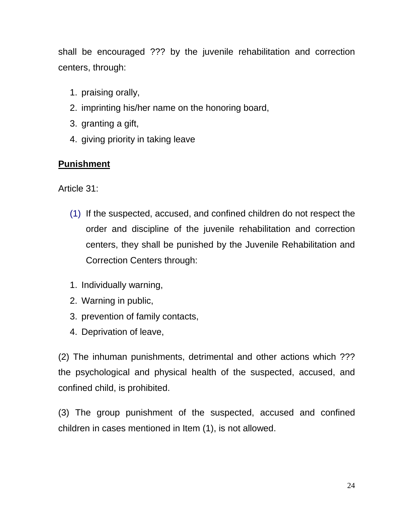shall be encouraged ??? by the juvenile rehabilitation and correction centers, through:

- 1. praising orally,
- 2. imprinting his/her name on the honoring board,
- 3. granting a gift,
- 4. giving priority in taking leave

# **Punishment**

Article 31:

- (1) If the suspected, accused, and confined children do not respect the order and discipline of the juvenile rehabilitation and correction centers, they shall be punished by the Juvenile Rehabilitation and Correction Centers through:
- 1. Individually warning,
- 2. Warning in public,
- 3. prevention of family contacts,
- 4. Deprivation of leave,

(2) The inhuman punishments, detrimental and other actions which ??? the psychological and physical health of the suspected, accused, and confined child, is prohibited.

(3) The group punishment of the suspected, accused and confined children in cases mentioned in Item (1), is not allowed.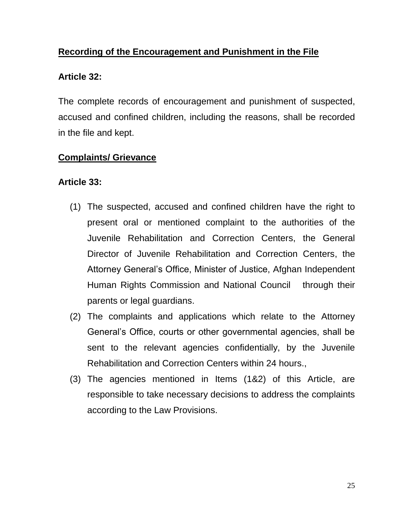# **Recording of the Encouragement and Punishment in the File**

# **Article 32:**

The complete records of encouragement and punishment of suspected, accused and confined children, including the reasons, shall be recorded in the file and kept.

# **Complaints/ Grievance**

# **Article 33:**

- (1) The suspected, accused and confined children have the right to present oral or mentioned complaint to the authorities of the Juvenile Rehabilitation and Correction Centers, the General Director of Juvenile Rehabilitation and Correction Centers, the Attorney General's Office, Minister of Justice, Afghan Independent Human Rights Commission and National Council through their parents or legal guardians.
- (2) The complaints and applications which relate to the Attorney General's Office, courts or other governmental agencies, shall be sent to the relevant agencies confidentially, by the Juvenile Rehabilitation and Correction Centers within 24 hours.,
- (3) The agencies mentioned in Items (1&2) of this Article, are responsible to take necessary decisions to address the complaints according to the Law Provisions.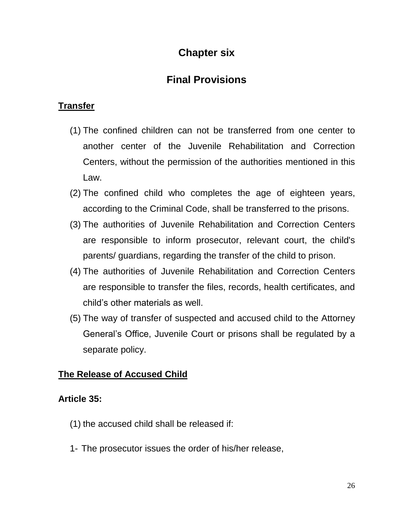# **Chapter six**

# **Final Provisions**

# **Transfer**

- (1) The confined children can not be transferred from one center to another center of the Juvenile Rehabilitation and Correction Centers, without the permission of the authorities mentioned in this Law.
- (2) The confined child who completes the age of eighteen years, according to the Criminal Code, shall be transferred to the prisons.
- (3) The authorities of Juvenile Rehabilitation and Correction Centers are responsible to inform prosecutor, relevant court, the child's parents/ guardians, regarding the transfer of the child to prison.
- (4) The authorities of Juvenile Rehabilitation and Correction Centers are responsible to transfer the files, records, health certificates, and child's other materials as well.
- (5) The way of transfer of suspected and accused child to the Attorney General's Office, Juvenile Court or prisons shall be regulated by a separate policy.

# **The Release of Accused Child**

# **Article 35:**

- (1) the accused child shall be released if:
- 1- The prosecutor issues the order of his/her release,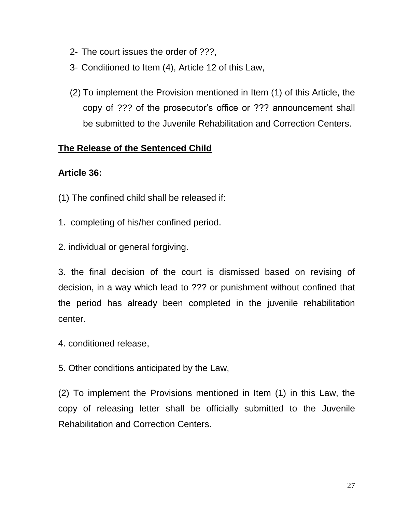- 2- The court issues the order of ???,
- 3- Conditioned to Item (4), Article 12 of this Law,
- (2) To implement the Provision mentioned in Item (1) of this Article, the copy of ??? of the prosecutor's office or ??? announcement shall be submitted to the Juvenile Rehabilitation and Correction Centers.

# **The Release of the Sentenced Child**

# **Article 36:**

- (1) The confined child shall be released if:
- 1. completing of his/her confined period.
- 2. individual or general forgiving.

3. the final decision of the court is dismissed based on revising of decision, in a way which lead to ??? or punishment without confined that the period has already been completed in the juvenile rehabilitation center.

- 4. conditioned release,
- 5. Other conditions anticipated by the Law,

(2) To implement the Provisions mentioned in Item (1) in this Law, the copy of releasing letter shall be officially submitted to the Juvenile Rehabilitation and Correction Centers.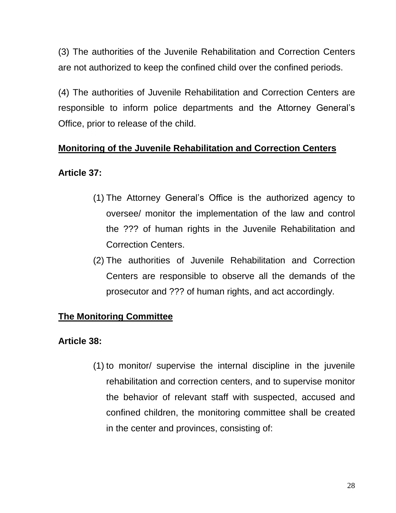(3) The authorities of the Juvenile Rehabilitation and Correction Centers are not authorized to keep the confined child over the confined periods.

(4) The authorities of Juvenile Rehabilitation and Correction Centers are responsible to inform police departments and the Attorney General's Office, prior to release of the child.

# **Monitoring of the Juvenile Rehabilitation and Correction Centers**

# **Article 37:**

- (1) The Attorney General's Office is the authorized agency to oversee/ monitor the implementation of the law and control the ??? of human rights in the Juvenile Rehabilitation and Correction Centers.
- (2) The authorities of Juvenile Rehabilitation and Correction Centers are responsible to observe all the demands of the prosecutor and ??? of human rights, and act accordingly.

# **The Monitoring Committee**

# **Article 38:**

(1) to monitor/ supervise the internal discipline in the juvenile rehabilitation and correction centers, and to supervise monitor the behavior of relevant staff with suspected, accused and confined children, the monitoring committee shall be created in the center and provinces, consisting of: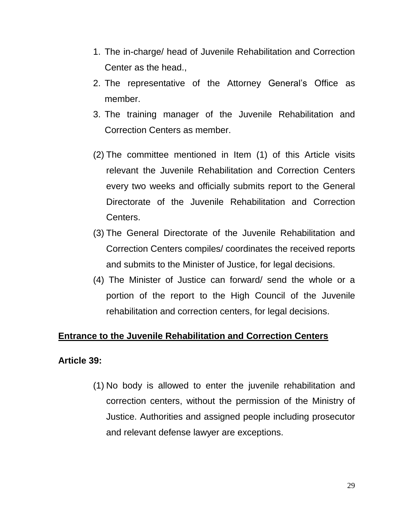- 1. The in-charge/ head of Juvenile Rehabilitation and Correction Center as the head.,
- 2. The representative of the Attorney General's Office as member.
- 3. The training manager of the Juvenile Rehabilitation and Correction Centers as member.
- (2) The committee mentioned in Item (1) of this Article visits relevant the Juvenile Rehabilitation and Correction Centers every two weeks and officially submits report to the General Directorate of the Juvenile Rehabilitation and Correction Centers.
- (3) The General Directorate of the Juvenile Rehabilitation and Correction Centers compiles/ coordinates the received reports and submits to the Minister of Justice, for legal decisions.
- (4) The Minister of Justice can forward/ send the whole or a portion of the report to the High Council of the Juvenile rehabilitation and correction centers, for legal decisions.

#### **Entrance to the Juvenile Rehabilitation and Correction Centers**

#### **Article 39:**

(1) No body is allowed to enter the juvenile rehabilitation and correction centers, without the permission of the Ministry of Justice. Authorities and assigned people including prosecutor and relevant defense lawyer are exceptions.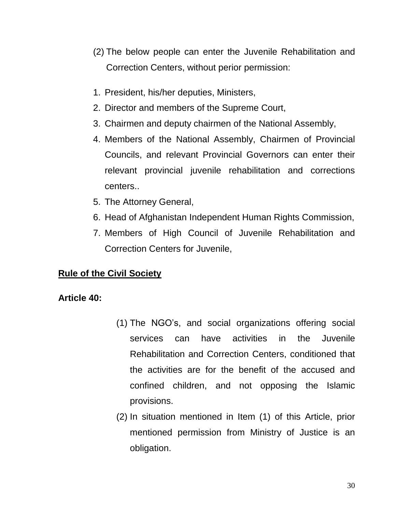- (2) The below people can enter the Juvenile Rehabilitation and Correction Centers, without perior permission:
- 1. President, his/her deputies, Ministers,
- 2. Director and members of the Supreme Court,
- 3. Chairmen and deputy chairmen of the National Assembly,
- 4. Members of the National Assembly, Chairmen of Provincial Councils, and relevant Provincial Governors can enter their relevant provincial juvenile rehabilitation and corrections centers..
- 5. The Attorney General,
- 6. Head of Afghanistan Independent Human Rights Commission,
- 7. Members of High Council of Juvenile Rehabilitation and Correction Centers for Juvenile,

# **Rule of the Civil Society**

# **Article 40:**

- (1) The NGO's, and social organizations offering social services can have activities in the Juvenile Rehabilitation and Correction Centers, conditioned that the activities are for the benefit of the accused and confined children, and not opposing the Islamic provisions.
- (2) In situation mentioned in Item (1) of this Article, prior mentioned permission from Ministry of Justice is an obligation.